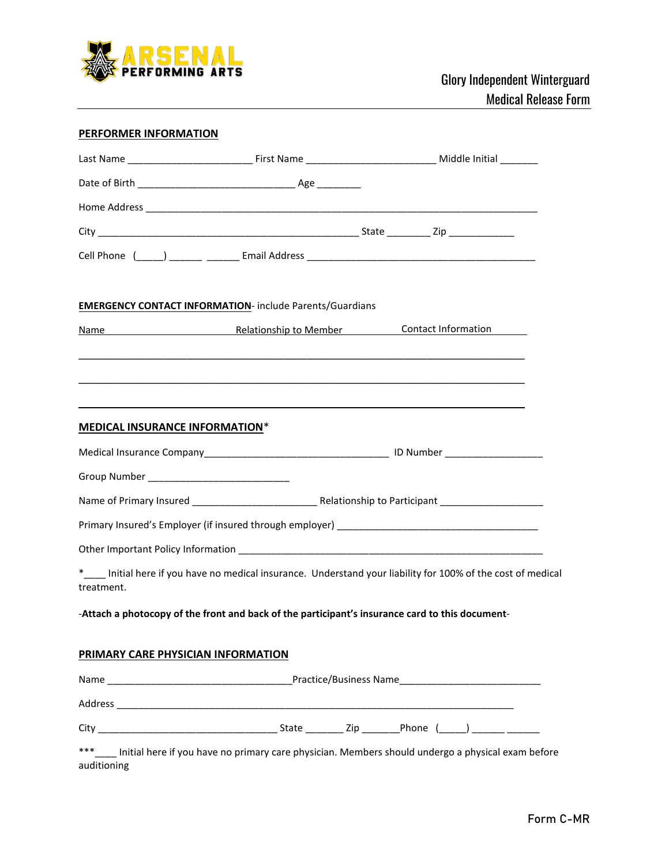

## **PERFORMER INFORMATION**

|                                       |                                                                 | Cell Phone (1, 2020) 2022, 2022, 2022, 2023 Email Address 2022, 2023, 2023, 2023, 2023, 2023, 2023, 2023, 2023                                                                                                                                 |  |  |  |
|---------------------------------------|-----------------------------------------------------------------|------------------------------------------------------------------------------------------------------------------------------------------------------------------------------------------------------------------------------------------------|--|--|--|
|                                       | <b>EMERGENCY CONTACT INFORMATION- include Parents/Guardians</b> |                                                                                                                                                                                                                                                |  |  |  |
|                                       |                                                                 | Name Manne Relationship to Member Contact Information                                                                                                                                                                                          |  |  |  |
|                                       |                                                                 | <u> 1999 - Johann Harry Harry Harry Harry Harry Harry Harry Harry Harry Harry Harry Harry Harry Harry Harry Harry</u><br><u>and the state of the state of the state of the state of the state of the state of the state of the state of th</u> |  |  |  |
| <b>MEDICAL INSURANCE INFORMATION*</b> |                                                                 |                                                                                                                                                                                                                                                |  |  |  |
|                                       |                                                                 |                                                                                                                                                                                                                                                |  |  |  |
|                                       |                                                                 |                                                                                                                                                                                                                                                |  |  |  |
|                                       |                                                                 |                                                                                                                                                                                                                                                |  |  |  |
|                                       |                                                                 |                                                                                                                                                                                                                                                |  |  |  |
|                                       |                                                                 |                                                                                                                                                                                                                                                |  |  |  |
| treatment.                            |                                                                 | *<br>Initial here if you have no medical insurance. Understand your liability for 100% of the cost of medical                                                                                                                                  |  |  |  |
|                                       |                                                                 | -Attach a photocopy of the front and back of the participant's insurance card to this document-                                                                                                                                                |  |  |  |
| PRIMARY CARE PHYSICIAN INFORMATION    |                                                                 |                                                                                                                                                                                                                                                |  |  |  |
|                                       |                                                                 |                                                                                                                                                                                                                                                |  |  |  |
|                                       |                                                                 |                                                                                                                                                                                                                                                |  |  |  |
|                                       |                                                                 |                                                                                                                                                                                                                                                |  |  |  |
|                                       |                                                                 | ***____ Initial here if you have no primary care physician. Members should undergo a physical exam before                                                                                                                                      |  |  |  |

auditioning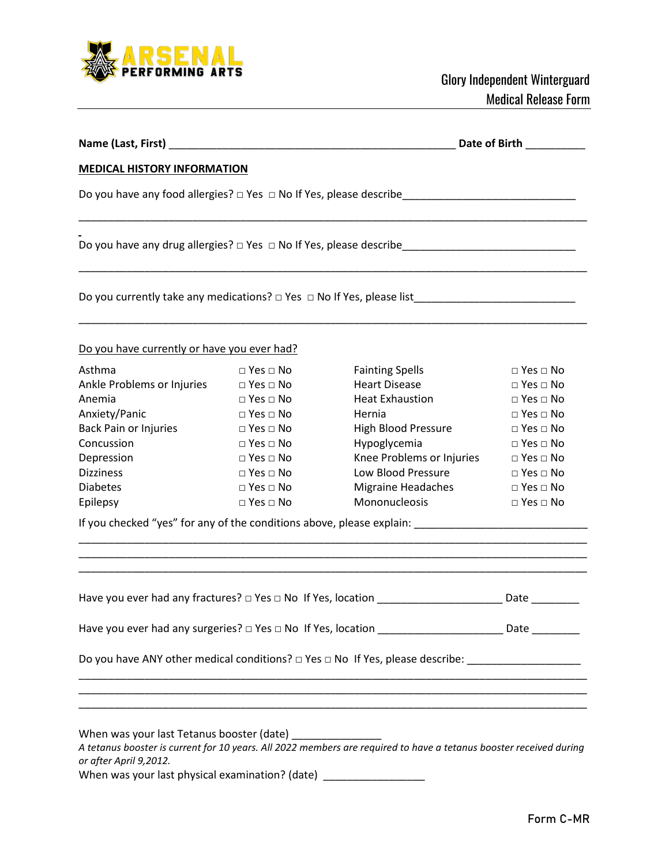

| Name (Last, First) _                                                            |                      |                                                                                                                                                                                                                                               | Date of Birth        |
|---------------------------------------------------------------------------------|----------------------|-----------------------------------------------------------------------------------------------------------------------------------------------------------------------------------------------------------------------------------------------|----------------------|
| <b>MEDICAL HISTORY INFORMATION</b>                                              |                      |                                                                                                                                                                                                                                               |                      |
|                                                                                 |                      |                                                                                                                                                                                                                                               |                      |
|                                                                                 |                      | Do you have any drug allergies? □ Yes □ No If Yes, please describe_________________________________                                                                                                                                           |                      |
| Do you currently take any medications? $\Box$ Yes $\Box$ No If Yes, please list |                      |                                                                                                                                                                                                                                               |                      |
| Do you have currently or have you ever had?                                     |                      |                                                                                                                                                                                                                                               |                      |
| Asthma                                                                          | $\Box$ Yes $\Box$ No | <b>Fainting Spells</b>                                                                                                                                                                                                                        | $\Box$ Yes $\Box$ No |
| Ankle Problems or Injuries                                                      | $\Box$ Yes $\Box$ No | <b>Heart Disease</b>                                                                                                                                                                                                                          | $\Box$ Yes $\Box$ No |
| Anemia                                                                          | $\Box$ Yes $\Box$ No | <b>Heat Exhaustion</b>                                                                                                                                                                                                                        | $\Box$ Yes $\Box$ No |
| Anxiety/Panic                                                                   | $\Box$ Yes $\Box$ No | Hernia                                                                                                                                                                                                                                        | $\Box$ Yes $\Box$ No |
| Back Pain or Injuries                                                           | $\Box$ Yes $\Box$ No | High Blood Pressure                                                                                                                                                                                                                           | $\Box$ Yes $\Box$ No |
| Concussion                                                                      | $\Box$ Yes $\Box$ No | Hypoglycemia                                                                                                                                                                                                                                  | $\Box$ Yes $\Box$ No |
| Depression                                                                      | $\Box$ Yes $\Box$ No | Knee Problems or Injuries                                                                                                                                                                                                                     | $\Box$ Yes $\Box$ No |
| <b>Dizziness</b>                                                                | $\Box$ Yes $\Box$ No | Low Blood Pressure                                                                                                                                                                                                                            | $\Box$ Yes $\Box$ No |
| <b>Diabetes</b>                                                                 | $\Box$ Yes $\Box$ No | <b>Migraine Headaches</b>                                                                                                                                                                                                                     | $\Box$ Yes $\Box$ No |
| Epilepsy                                                                        | $\Box$ Yes $\Box$ No | Mononucleosis                                                                                                                                                                                                                                 | $\Box$ Yes $\Box$ No |
|                                                                                 |                      | If you checked "yes" for any of the conditions above, please explain: ______________________________                                                                                                                                          |                      |
|                                                                                 |                      |                                                                                                                                                                                                                                               | <b>Date</b>          |
|                                                                                 |                      |                                                                                                                                                                                                                                               |                      |
|                                                                                 |                      | Have you ever had any surgeries? $\Box$ Yes $\Box$ No If Yes, location __________________________Date ___________                                                                                                                             |                      |
|                                                                                 |                      | Do you have ANY other medical conditions? $\Box$ Yes $\Box$ No If Yes, please describe: ______________________                                                                                                                                |                      |
|                                                                                 |                      | <u> 1989 - Johann Stoff, amerikan berkeman berkeman berkeman berkeman berkeman berkeman berkeman berkeman berkema</u><br><u> 1989 - Andrea Santa Andrea Santa Andrea Santa Andrea Santa Andrea Santa Andrea Santa Andrea Santa Andrea San</u> |                      |
| or after April 9,2012.                                                          |                      |                                                                                                                                                                                                                                               |                      |
|                                                                                 |                      | When was your last physical examination? (date) ____________________                                                                                                                                                                          |                      |
|                                                                                 |                      |                                                                                                                                                                                                                                               |                      |